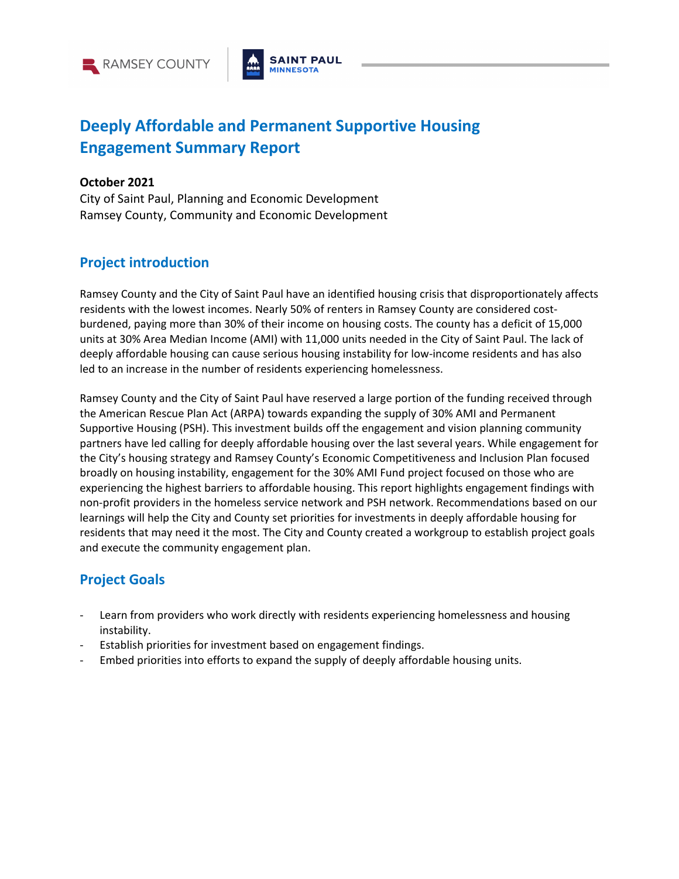



# **Deeply Affordable and Permanent Supportive Housing Engagement Summary Report**

#### **October 2021**

City of Saint Paul, Planning and Economic Development Ramsey County, Community and Economic Development

### **Project introduction**

Ramsey County and the City of Saint Paul have an identified housing crisis that disproportionately affects residents with the lowest incomes. Nearly 50% of renters in Ramsey County are considered costburdened, paying more than 30% of their income on housing costs. The county has a deficit of 15,000 units at 30% Area Median Income (AMI) with 11,000 units needed in the City of Saint Paul. The lack of deeply affordable housing can cause serious housing instability for low-income residents and has also led to an increase in the number of residents experiencing homelessness.

Ramsey County and the City of Saint Paul have reserved a large portion of the funding received through the American Rescue Plan Act (ARPA) towards expanding the supply of 30% AMI and Permanent Supportive Housing (PSH). This investment builds off the engagement and vision planning community partners have led calling for deeply affordable housing over the last several years. While engagement for the City's housing strategy and Ramsey County's Economic Competitiveness and Inclusion Plan focused broadly on housing instability, engagement for the 30% AMI Fund project focused on those who are experiencing the highest barriers to affordable housing. This report highlights engagement findings with non-profit providers in the homeless service network and PSH network. Recommendations based on our learnings will help the City and County set priorities for investments in deeply affordable housing for residents that may need it the most. The City and County created a workgroup to establish project goals and execute the community engagement plan.

# **Project Goals**

- Learn from providers who work directly with residents experiencing homelessness and housing instability.
- Establish priorities for investment based on engagement findings.
- Embed priorities into efforts to expand the supply of deeply affordable housing units.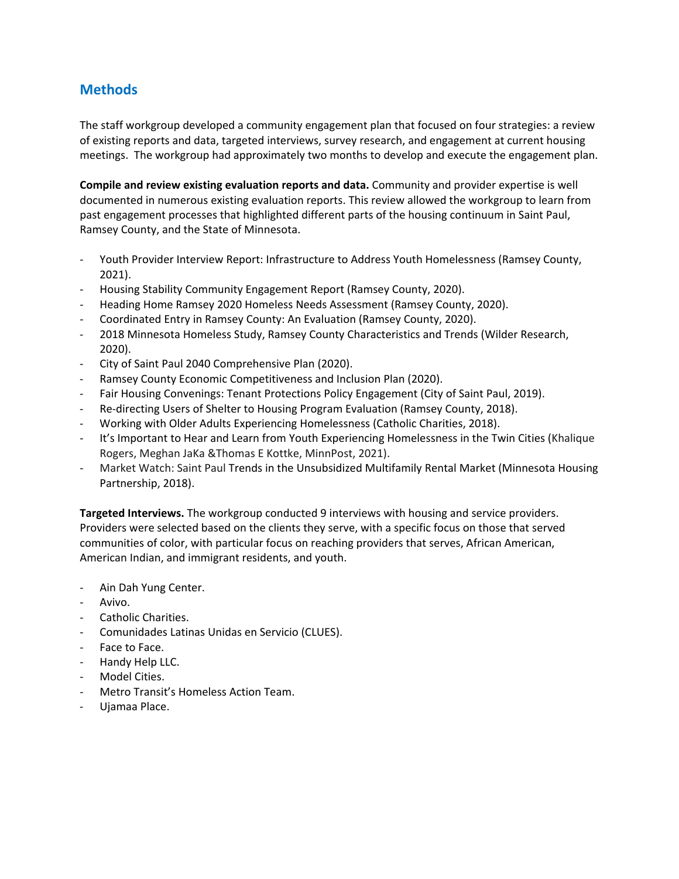# **Methods**

The staff workgroup developed a community engagement plan that focused on four strategies: a review of existing reports and data, targeted interviews, survey research, and engagement at current housing meetings. The workgroup had approximately two months to develop and execute the engagement plan.

**Compile and review existing evaluation reports and data.** Community and provider expertise is well documented in numerous existing evaluation reports. This review allowed the workgroup to learn from past engagement processes that highlighted different parts of the housing continuum in Saint Paul, Ramsey County, and the State of Minnesota.

- Youth Provider Interview Report: Infrastructure to Address Youth Homelessness (Ramsey County, 2021).
- Housing Stability Community Engagement Report (Ramsey County, 2020).
- Heading Home Ramsey 2020 Homeless Needs Assessment (Ramsey County, 2020).
- Coordinated Entry in Ramsey County: An Evaluation (Ramsey County, 2020).
- 2018 Minnesota Homeless Study, Ramsey County Characteristics and Trends (Wilder Research, 2020).
- City of Saint Paul 2040 Comprehensive Plan (2020).
- Ramsey County Economic Competitiveness and Inclusion Plan (2020).
- Fair Housing Convenings: Tenant Protections Policy Engagement (City of Saint Paul, 2019).
- Re-directing Users of Shelter to Housing Program Evaluation (Ramsey County, 2018).
- Working with Older Adults Experiencing Homelessness (Catholic Charities, 2018).
- It's Important to Hear and Learn from Youth Experiencing Homelessness in the Twin Cities (Khalique Rogers, Meghan JaKa &Thomas E Kottke, MinnPost, 2021).
- Market Watch: Saint Paul Trends in the Unsubsidized Multifamily Rental Market (Minnesota Housing Partnership, 2018).

**Targeted Interviews.** The workgroup conducted 9 interviews with housing and service providers. Providers were selected based on the clients they serve, with a specific focus on those that served communities of color, with particular focus on reaching providers that serves, African American, American Indian, and immigrant residents, and youth.

- Ain Dah Yung Center.
- Avivo.
- Catholic Charities.
- Comunidades Latinas Unidas en Servicio (CLUES).
- Face to Face.
- Handy Help LLC.
- Model Cities.
- Metro Transit's Homeless Action Team.
- Ujamaa Place.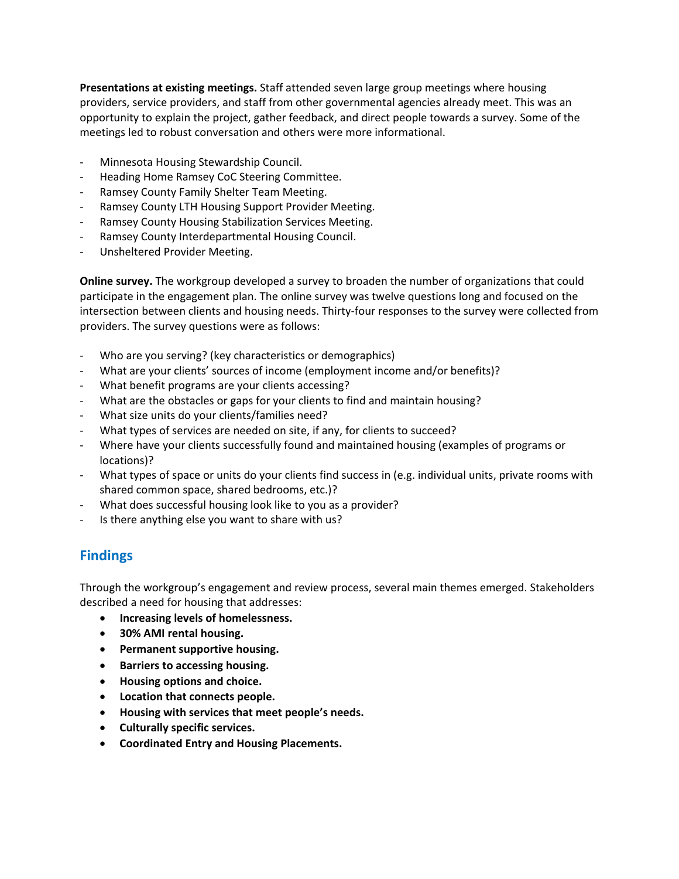**Presentations at existing meetings.** Staff attended seven large group meetings where housing providers, service providers, and staff from other governmental agencies already meet. This was an opportunity to explain the project, gather feedback, and direct people towards a survey. Some of the meetings led to robust conversation and others were more informational.

- Minnesota Housing Stewardship Council.
- Heading Home Ramsey CoC Steering Committee.
- Ramsey County Family Shelter Team Meeting.
- Ramsey County LTH Housing Support Provider Meeting.
- Ramsey County Housing Stabilization Services Meeting.
- Ramsey County Interdepartmental Housing Council.
- Unsheltered Provider Meeting.

**Online survey.** The workgroup developed a survey to broaden the number of organizations that could participate in the engagement plan. The online survey was twelve questions long and focused on the intersection between clients and housing needs. Thirty-four responses to the survey were collected from providers. The survey questions were as follows:

- Who are you serving? (key characteristics or demographics)
- What are your clients' sources of income (employment income and/or benefits)?
- What benefit programs are your clients accessing?
- What are the obstacles or gaps for your clients to find and maintain housing?
- What size units do your clients/families need?
- What types of services are needed on site, if any, for clients to succeed?
- Where have your clients successfully found and maintained housing (examples of programs or locations)?
- What types of space or units do your clients find success in (e.g. individual units, private rooms with shared common space, shared bedrooms, etc.)?
- What does successful housing look like to you as a provider?
- Is there anything else you want to share with us?

# **Findings**

Through the workgroup's engagement and review process, several main themes emerged. Stakeholders described a need for housing that addresses:

- **Increasing levels of homelessness.**
- **30% AMI rental housing.**
- **Permanent supportive housing.**
- **Barriers to accessing housing.**
- **Housing options and choice.**
- **Location that connects people.**
- **Housing with services that meet people's needs.**
- **Culturally specific services.**
- **Coordinated Entry and Housing Placements.**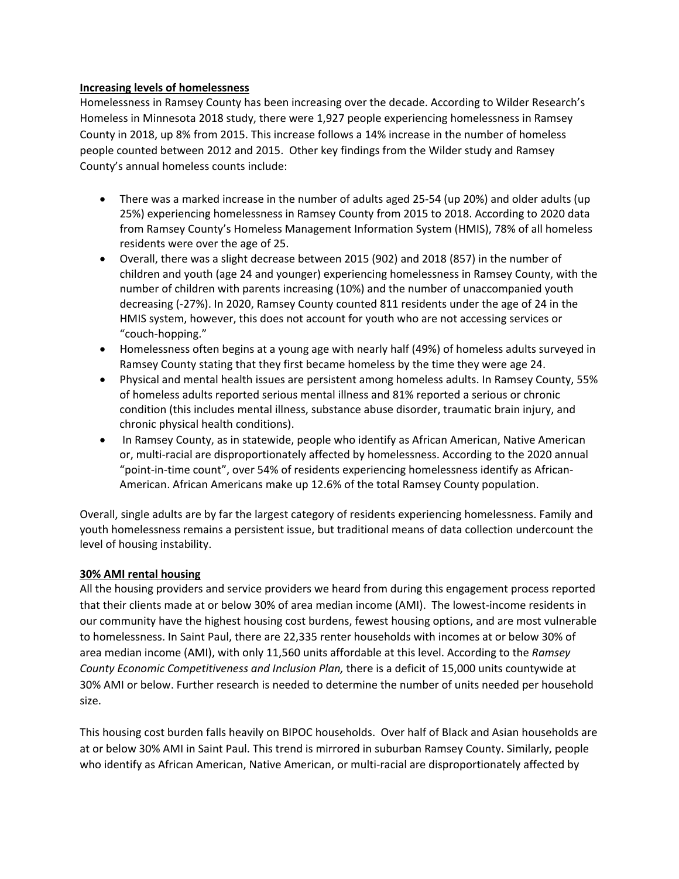#### **Increasing levels of homelessness**

Homelessness in Ramsey County has been increasing over the decade. According to Wilder Research's Homeless in Minnesota 2018 study, there were 1,927 people experiencing homelessness in Ramsey County in 2018, up 8% from 2015. This increase follows a 14% increase in the number of homeless people counted between 2012 and 2015. Other key findings from the Wilder study and Ramsey County's annual homeless counts include:

- There was a marked increase in the number of adults aged 25-54 (up 20%) and older adults (up 25%) experiencing homelessness in Ramsey County from 2015 to 2018. According to 2020 data from Ramsey County's Homeless Management Information System (HMIS), 78% of all homeless residents were over the age of 25.
- Overall, there was a slight decrease between 2015 (902) and 2018 (857) in the number of children and youth (age 24 and younger) experiencing homelessness in Ramsey County, with the number of children with parents increasing (10%) and the number of unaccompanied youth decreasing (-27%). In 2020, Ramsey County counted 811 residents under the age of 24 in the HMIS system, however, this does not account for youth who are not accessing services or "couch-hopping."
- Homelessness often begins at a young age with nearly half (49%) of homeless adults surveyed in Ramsey County stating that they first became homeless by the time they were age 24.
- Physical and mental health issues are persistent among homeless adults. In Ramsey County, 55% of homeless adults reported serious mental illness and 81% reported a serious or chronic condition (this includes mental illness, substance abuse disorder, traumatic brain injury, and chronic physical health conditions).
- In Ramsey County, as in statewide, people who identify as African American, Native American or, multi-racial are disproportionately affected by homelessness. According to the 2020 annual "point-in-time count", over 54% of residents experiencing homelessness identify as African-American. African Americans make up 12.6% of the total Ramsey County population.

Overall, single adults are by far the largest category of residents experiencing homelessness. Family and youth homelessness remains a persistent issue, but traditional means of data collection undercount the level of housing instability.

#### **30% AMI rental housing**

All the housing providers and service providers we heard from during this engagement process reported that their clients made at or below 30% of area median income (AMI). The lowest-income residents in our community have the highest housing cost burdens, fewest housing options, and are most vulnerable to homelessness. In Saint Paul, there are 22,335 renter households with incomes at or below 30% of area median income (AMI), with only 11,560 units affordable at this level. According to the *Ramsey County Economic Competitiveness and Inclusion Plan,* there is a deficit of 15,000 units countywide at 30% AMI or below. Further research is needed to determine the number of units needed per household size.

This housing cost burden falls heavily on BIPOC households. Over half of Black and Asian households are at or below 30% AMI in Saint Paul. This trend is mirrored in suburban Ramsey County. Similarly, people who identify as African American, Native American, or multi-racial are disproportionately affected by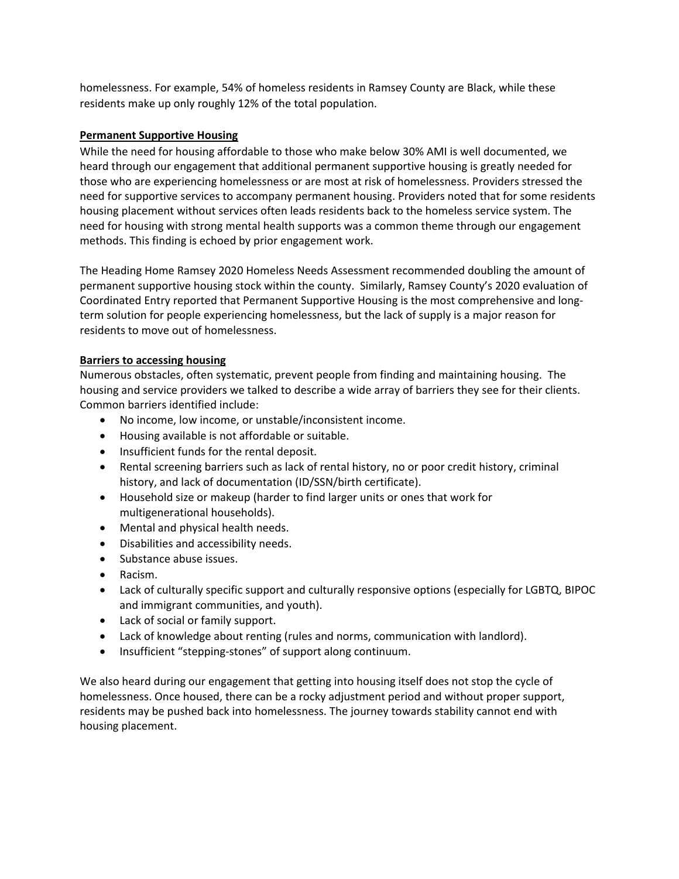homelessness. For example, 54% of homeless residents in Ramsey County are Black, while these residents make up only roughly 12% of the total population.

#### **Permanent Supportive Housing**

While the need for housing affordable to those who make below 30% AMI is well documented, we heard through our engagement that additional permanent supportive housing is greatly needed for those who are experiencing homelessness or are most at risk of homelessness. Providers stressed the need for supportive services to accompany permanent housing. Providers noted that for some residents housing placement without services often leads residents back to the homeless service system. The need for housing with strong mental health supports was a common theme through our engagement methods. This finding is echoed by prior engagement work.

The Heading Home Ramsey 2020 Homeless Needs Assessment recommended doubling the amount of permanent supportive housing stock within the county. Similarly, Ramsey County's 2020 evaluation of Coordinated Entry reported that Permanent Supportive Housing is the most comprehensive and longterm solution for people experiencing homelessness, but the lack of supply is a major reason for residents to move out of homelessness.

#### **Barriers to accessing housing**

Numerous obstacles, often systematic, prevent people from finding and maintaining housing. The housing and service providers we talked to describe a wide array of barriers they see for their clients. Common barriers identified include:

- No income, low income, or unstable/inconsistent income.
- Housing available is not affordable or suitable.
- Insufficient funds for the rental deposit.
- Rental screening barriers such as lack of rental history, no or poor credit history, criminal history, and lack of documentation (ID/SSN/birth certificate).
- Household size or makeup (harder to find larger units or ones that work for multigenerational households).
- Mental and physical health needs.
- Disabilities and accessibility needs.
- Substance abuse issues.
- Racism.
- Lack of culturally specific support and culturally responsive options (especially for LGBTQ, BIPOC and immigrant communities, and youth).
- Lack of social or family support.
- Lack of knowledge about renting (rules and norms, communication with landlord).
- Insufficient "stepping-stones" of support along continuum.

We also heard during our engagement that getting into housing itself does not stop the cycle of homelessness. Once housed, there can be a rocky adjustment period and without proper support, residents may be pushed back into homelessness. The journey towards stability cannot end with housing placement.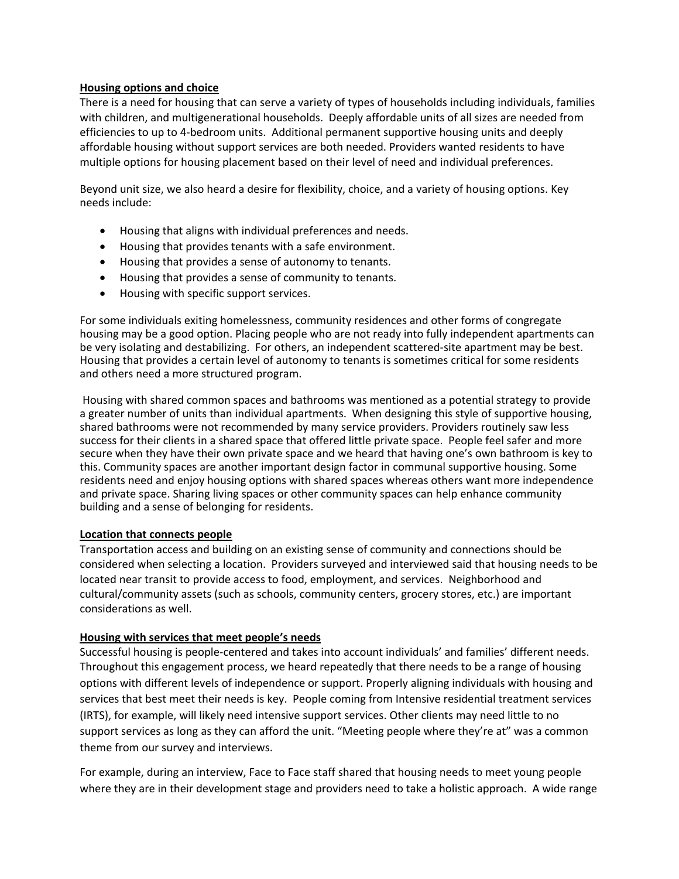#### **Housing options and choice**

There is a need for housing that can serve a variety of types of households including individuals, families with children, and multigenerational households. Deeply affordable units of all sizes are needed from efficiencies to up to 4-bedroom units. Additional permanent supportive housing units and deeply affordable housing without support services are both needed. Providers wanted residents to have multiple options for housing placement based on their level of need and individual preferences.

Beyond unit size, we also heard a desire for flexibility, choice, and a variety of housing options. Key needs include:

- Housing that aligns with individual preferences and needs.
- Housing that provides tenants with a safe environment.
- Housing that provides a sense of autonomy to tenants.
- Housing that provides a sense of community to tenants.
- Housing with specific support services.

For some individuals exiting homelessness, community residences and other forms of congregate housing may be a good option. Placing people who are not ready into fully independent apartments can be very isolating and destabilizing. For others, an independent scattered-site apartment may be best. Housing that provides a certain level of autonomy to tenants is sometimes critical for some residents and others need a more structured program.

Housing with shared common spaces and bathrooms was mentioned as a potential strategy to provide a greater number of units than individual apartments. When designing this style of supportive housing, shared bathrooms were not recommended by many service providers. Providers routinely saw less success for their clients in a shared space that offered little private space. People feel safer and more secure when they have their own private space and we heard that having one's own bathroom is key to this. Community spaces are another important design factor in communal supportive housing. Some residents need and enjoy housing options with shared spaces whereas others want more independence and private space. Sharing living spaces or other community spaces can help enhance community building and a sense of belonging for residents.

#### **Location that connects people**

Transportation access and building on an existing sense of community and connections should be considered when selecting a location. Providers surveyed and interviewed said that housing needs to be located near transit to provide access to food, employment, and services. Neighborhood and cultural/community assets (such as schools, community centers, grocery stores, etc.) are important considerations as well.

#### **Housing with services that meet people's needs**

Successful housing is people-centered and takes into account individuals' and families' different needs. Throughout this engagement process, we heard repeatedly that there needs to be a range of housing options with different levels of independence or support. Properly aligning individuals with housing and services that best meet their needs is key. People coming from Intensive residential treatment services (IRTS), for example, will likely need intensive support services. Other clients may need little to no support services as long as they can afford the unit. "Meeting people where they're at" was a common theme from our survey and interviews.

For example, during an interview, Face to Face staff shared that housing needs to meet young people where they are in their development stage and providers need to take a holistic approach. A wide range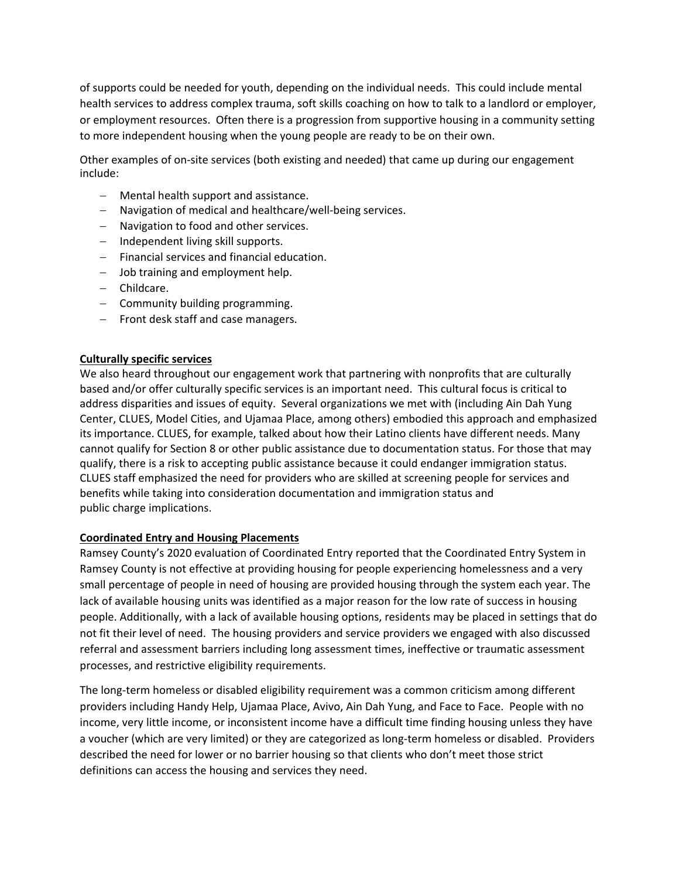of supports could be needed for youth, depending on the individual needs. This could include mental health services to address complex trauma, soft skills coaching on how to talk to a landlord or employer, or employment resources. Often there is a progression from supportive housing in a community setting to more independent housing when the young people are ready to be on their own.

Other examples of on-site services (both existing and needed) that came up during our engagement include:

- − Mental health support and assistance.
- − Navigation of medical and healthcare/well-being services.
- − Navigation to food and other services.
- − Independent living skill supports.
- − Financial services and financial education.
- − Job training and employment help.
- − Childcare.
- − Community building programming.
- − Front desk staff and case managers.

#### **Culturally specific services**

We also heard throughout our engagement work that partnering with nonprofits that are culturally based and/or offer culturally specific services is an important need. This cultural focus is critical to address disparities and issues of equity. Several organizations we met with (including Ain Dah Yung Center, CLUES, Model Cities, and Ujamaa Place, among others) embodied this approach and emphasized its importance. CLUES, for example, talked about how their Latino clients have different needs. Many cannot qualify for Section 8 or other public assistance due to documentation status. For those that may qualify, there is a risk to accepting public assistance because it could endanger immigration status. CLUES staff emphasized the need for providers who are skilled at screening people for services and benefits while taking into consideration documentation and immigration status and public charge implications.

#### **Coordinated Entry and Housing Placements**

Ramsey County's 2020 evaluation of Coordinated Entry reported that the Coordinated Entry System in Ramsey County is not effective at providing housing for people experiencing homelessness and a very small percentage of people in need of housing are provided housing through the system each year. The lack of available housing units was identified as a major reason for the low rate of success in housing people. Additionally, with a lack of available housing options, residents may be placed in settings that do not fit their level of need. The housing providers and service providers we engaged with also discussed referral and assessment barriers including long assessment times, ineffective or traumatic assessment processes, and restrictive eligibility requirements.

The long-term homeless or disabled eligibility requirement was a common criticism among different providers including Handy Help, Ujamaa Place, Avivo, Ain Dah Yung, and Face to Face. People with no income, very little income, or inconsistent income have a difficult time finding housing unless they have a voucher (which are very limited) or they are categorized as long-term homeless or disabled. Providers described the need for lower or no barrier housing so that clients who don't meet those strict definitions can access the housing and services they need.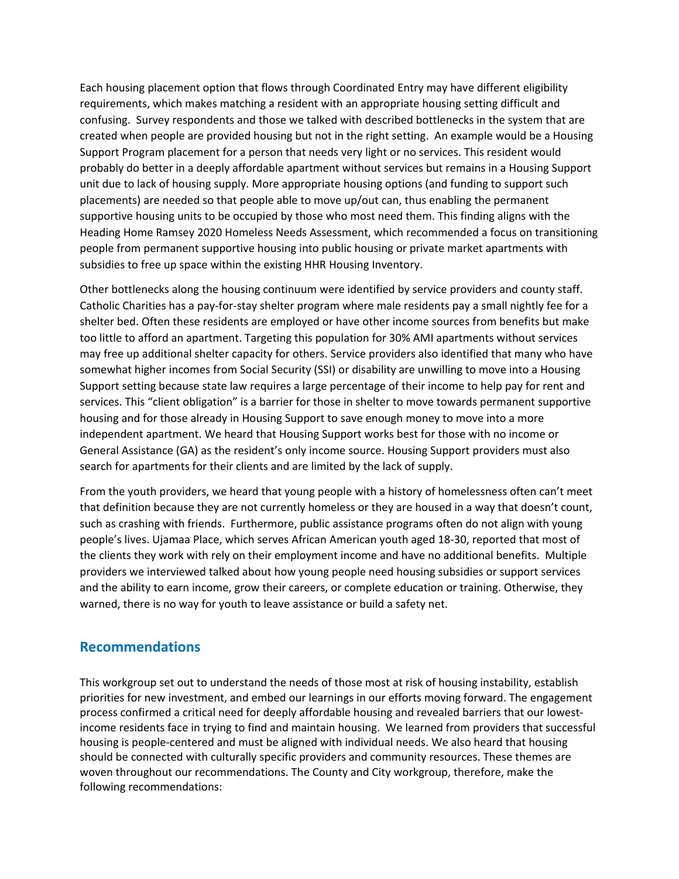Each housing placement option that flows through Coordinated Entry may have different eligibility requirements, which makes matching a resident with an appropriate housing setting difficult and confusing. Survey respondents and those we talked with described bottlenecks in the system that are created when people are provided housing but not in the right setting. An example would be a Housing Support Program placement for a person that needs very light or no services. This resident would probably do better in a deeply affordable apartment without services but remains in a Housing Support unit due to lack of housing supply. More appropriate housing options (and funding to support such placements) are needed so that people able to move up/out can, thus enabling the permanent supportive housing units to be occupied by those who most need them. This finding aligns with the Heading Home Ramsey 2020 Homeless Needs Assessment, which recommended a focus on transitioning people from permanent supportive housing into public housing or private market apartments with subsidies to free up space within the existing HHR Housing Inventory.

Other bottlenecks along the housing continuum were identified by service providers and county staff. Catholic Charities has a pay-for-stay shelter program where male residents pay a small nightly fee for a shelter bed. Often these residents are employed or have other income sources from benefits but make too little to afford an apartment. Targeting this population for 30% AMI apartments without services may free up additional shelter capacity for others. Service providers also identified that many who have somewhat higher incomes from Social Security (SSI) or disability are unwilling to move into a Housing Support setting because state law requires a large percentage of their income to help pay for rent and services. This "client obligation" is a barrier for those in shelter to move towards permanent supportive housing and for those already in Housing Support to save enough money to move into a more independent apartment. We heard that Housing Support works best for those with no income or General Assistance (GA) as the resident's only income source. Housing Support providers must also search for apartments for their clients and are limited by the lack of supply.

From the youth providers, we heard that young people with a history of homelessness often can't meet that definition because they are not currently homeless or they are housed in a way that doesn't count, such as crashing with friends. Furthermore, public assistance programs often do not align with young people's lives. Ujamaa Place, which serves African American youth aged 18-30, reported that most of the clients they work with rely on their employment income and have no additional benefits. Multiple providers we interviewed talked about how young people need housing subsidies or support services and the ability to earn income, grow their careers, or complete education or training. Otherwise, they warned, there is no way for youth to leave assistance or build a safety net.

### **Recommendations**

This workgroup set out to understand the needs of those most at risk of housing instability, establish priorities for new investment, and embed our learnings in our efforts moving forward. The engagement process confirmed a critical need for deeply affordable housing and revealed barriers that our lowestincome residents face in trying to find and maintain housing. We learned from providers that successful housing is people-centered and must be aligned with individual needs. We also heard that housing should be connected with culturally specific providers and community resources. These themes are woven throughout our recommendations. The County and City workgroup, therefore, make the following recommendations: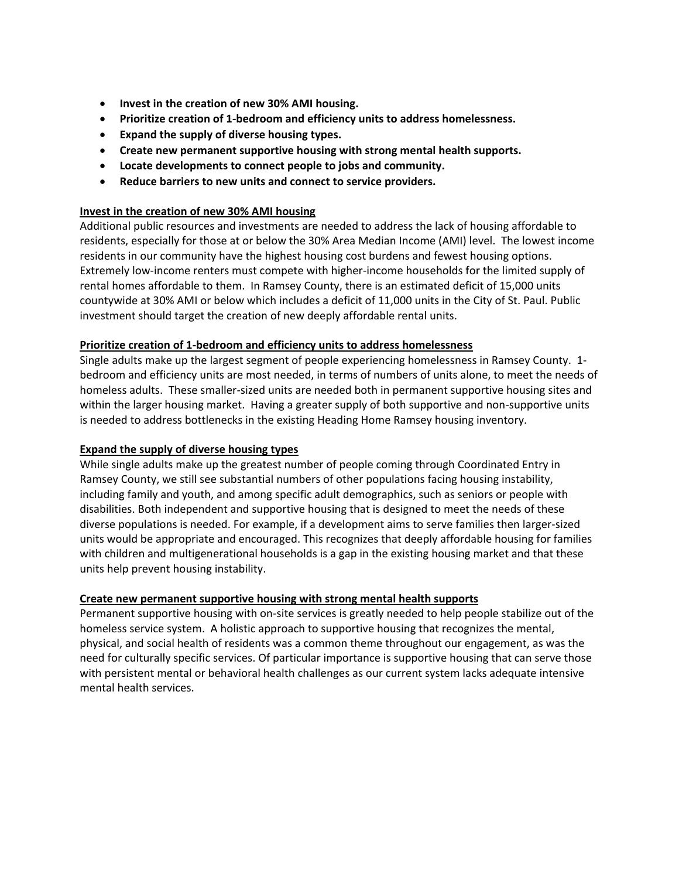- **Invest in the creation of new 30% AMI housing.**
- **Prioritize creation of 1-bedroom and efficiency units to address homelessness.**
- **Expand the supply of diverse housing types.**
- **Create new permanent supportive housing with strong mental health supports.**
- **Locate developments to connect people to jobs and community.**
- **Reduce barriers to new units and connect to service providers.**

#### **Invest in the creation of new 30% AMI housing**

Additional public resources and investments are needed to address the lack of housing affordable to residents, especially for those at or below the 30% Area Median Income (AMI) level. The lowest income residents in our community have the highest housing cost burdens and fewest housing options. Extremely low-income renters must compete with higher-income households for the limited supply of rental homes affordable to them. In Ramsey County, there is an estimated deficit of 15,000 units countywide at 30% AMI or below which includes a deficit of 11,000 units in the City of St. Paul. Public investment should target the creation of new deeply affordable rental units.

#### **Prioritize creation of 1-bedroom and efficiency units to address homelessness**

Single adults make up the largest segment of people experiencing homelessness in Ramsey County. 1 bedroom and efficiency units are most needed, in terms of numbers of units alone, to meet the needs of homeless adults. These smaller-sized units are needed both in permanent supportive housing sites and within the larger housing market. Having a greater supply of both supportive and non-supportive units is needed to address bottlenecks in the existing Heading Home Ramsey housing inventory.

#### **Expand the supply of diverse housing types**

While single adults make up the greatest number of people coming through Coordinated Entry in Ramsey County, we still see substantial numbers of other populations facing housing instability, including family and youth, and among specific adult demographics, such as seniors or people with disabilities. Both independent and supportive housing that is designed to meet the needs of these diverse populations is needed. For example, if a development aims to serve families then larger-sized units would be appropriate and encouraged. This recognizes that deeply affordable housing for families with children and multigenerational households is a gap in the existing housing market and that these units help prevent housing instability.

#### **Create new permanent supportive housing with strong mental health supports**

Permanent supportive housing with on-site services is greatly needed to help people stabilize out of the homeless service system. A holistic approach to supportive housing that recognizes the mental, physical, and social health of residents was a common theme throughout our engagement, as was the need for culturally specific services. Of particular importance is supportive housing that can serve those with persistent mental or behavioral health challenges as our current system lacks adequate intensive mental health services.